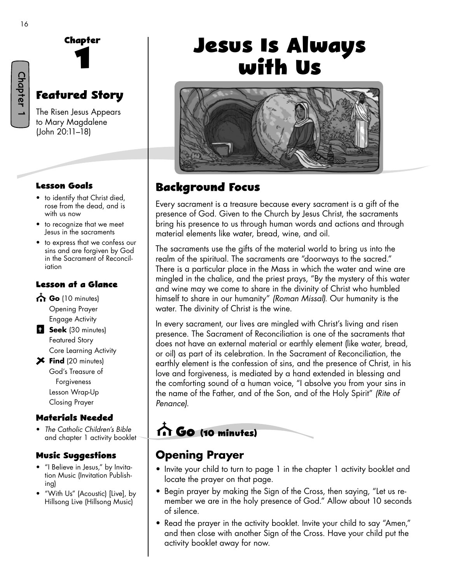Chapter 1



# **Featured Story**

The Risen Jesus Appears to Mary Magdalene (John 20:11–18)

#### **Lesson Goals**

- to identify that Christ died, rose from the dead, and is with us now
- to recognize that we meet Jesus in the sacraments
- to express that we confess our sins and are forgiven by God in the Sacrament of Reconciliation

#### **Lesson at a Glance**

- Go (10 minutes) Opening Prayer Engage Activity
- **Seek** (30 minutes) Featured Story Core Learning Activity
- **Find** (20 minutes) God's Treasure of Forgiveness Lesson Wrap-Up Closing Prayer

#### **Materials Needed**

• *The Catholic Children's Bible* and chapter 1 activity booklet

#### **Music Su�gestions**

- "I Believe in Jesus," by Invitation Music (Invitation Publishing)
- "With Us" (Acoustic) [Live], by Hillsong Live (Hillsong Music)

# **Jesus Is Always with Us**



#### **Background Focus**

Every sacrament is a treasure because every sacrament is a gift of the presence of God. Given to the Church by Jesus Christ, the sacraments bring his presence to us through human words and actions and through material elements like water, bread, wine, and oil.

The sacraments use the gifts of the material world to bring us into the realm of the spiritual. The sacraments are "doorways to the sacred." There is a particular place in the Mass in which the water and wine are mingled in the chalice, and the priest prays, "By the mystery of this water and wine may we come to share in the divinity of Christ who humbled himself to share in our humanity" *(Roman Missal).* Our humanity is the water. The divinity of Christ is the wine.

In every sacrament, our lives are mingled with Christ's living and risen presence. The Sacrament of Reconciliation is one of the sacraments that does not have an external material or earthly element (like water, bread, or oil) as part of its celebration. In the Sacrament of Reconciliation, the earthly element is the confession of sins, and the presence of Christ, in his love and forgiveness, is mediated by a hand extended in blessing and the comforting sound of a human voice, "I absolve you from your sins in the name of the Father, and of the Son, and of the Holy Spirit" *(Rite of Penance)*.

# **Go (10 minutes)**

#### **Opening Prayer**

- Invite your child to turn to page 1 in the chapter 1 activity booklet and locate the prayer on that page.
- Begin prayer by making the Sign of the Cross, then saying, "Let us remember we are in the holy presence of God." Allow about 10 seconds of silence.
- Read the prayer in the activity booklet. Invite your child to say "Amen," and then close with another Sign of the Cross. Have your child put the activity booklet away for now.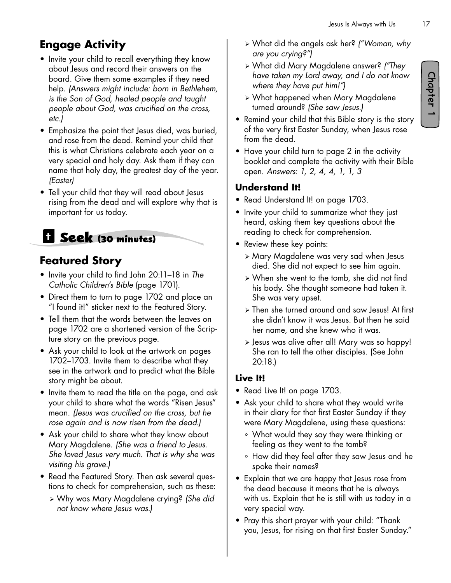- Invite your child to recall everything they know about Jesus and record their answers on the board. Give them some examples if they need help. *(Answers might include: born in Bethlehem, is the Son of God, healed people and taught people about God, was crucified on the cross, etc.)*
- Emphasize the point that Jesus died, was buried, and rose from the dead. Remind your child that this is what Christians celebrate each year on a very special and holy day. Ask them if they can name that holy day, the greatest day of the year. *(Easter)*
- Tell your child that they will read about Jesus rising from the dead and will explore why that is important for us today.

# **Seek (30 minutes)**

## **Featured Story**

- Invite your child to find John 20:11–18 in *The Catholic Children's Bible* (page 1701).
- Direct them to turn to page 1702 and place an "I found it!" sticker next to the Featured Story.
- Tell them that the words between the leaves on page 1702 are a shortened version of the Scripture story on the previous page.
- Ask your child to look at the artwork on pages 1702–1703. Invite them to describe what they see in the artwork and to predict what the Bible story might be about.
- Invite them to read the title on the page, and ask your child to share what the words "Risen Jesus" mean. *(Jesus was crucified on the cross, but he rose again and is now risen from the dead.)*
- Ask your child to share what they know about Mary Magdalene. *(She was a friend to Jesus. She loved Jesus very much. That is why she was visiting his grave.)*
- Read the Featured Story. Then ask several questions to check for comprehension, such as these:
	- ¾ Why was Mary Magdalene crying? *(She did not know where Jesus was.)*
- ¾ What did the angels ask her? *("Woman, why are you crying?")*
- ¾ What did Mary Magdalene answer? *("They have taken my Lord away, and I do not know where they have put him!")*
- ¾ What happened when Mary Magdalene turned around? *(She saw Jesus.)*
- Remind your child that this Bible story is the story of the very first Easter Sunday, when Jesus rose from the dead.
- Have your child turn to page 2 in the activity booklet and complete the activity with their Bible open. *Answers: 1, 2, 4, 4, 1, 1, 3*

#### **Understand It!**

- Read Understand It! on page 1703.
- Invite your child to summarize what they just heard, asking them key questions about the reading to check for comprehension.
- Review these key points:
	- ¾ Mary Magdalene was very sad when Jesus died. She did not expect to see him again.
	- ¾ When she went to the tomb, she did not find his body. She thought someone had taken it. She was very upset.
	- ¾ Then she turned around and saw Jesus! At first she didn't know it was Jesus. But then he said her name, and she knew who it was.
	- ¾ Jesus was alive after all! Mary was so happy! She ran to tell the other disciples. (See John 20:18.)

#### **Live It!**

- Read Live It! on page 1703.
- Ask your child to share what they would write in their diary for that first Easter Sunday if they were Mary Magdalene, using these questions:
	- ° What would they say they were thinking or feeling as they went to the tomb?
	- ° How did they feel after they saw Jesus and he spoke their names?
- Explain that we are happy that Jesus rose from the dead because it means that he is always with us. Explain that he is still with us today in a very special way.
- Pray this short prayer with your child: "Thank you, Jesus, for rising on that first Easter Sunday."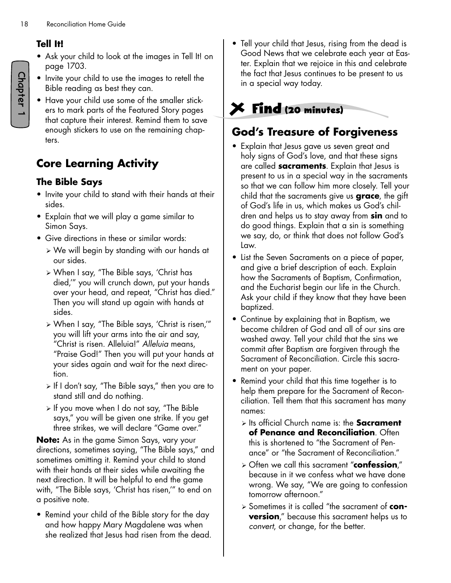#### **Tell It!**

- Ask your child to look at the images in Tell It! on page 1703.
- Invite your child to use the images to retell the Bible reading as best they can.
- Have your child use some of the smaller stickers to mark parts of the Featured Story pages that capture their interest. Remind them to save enough stickers to use on the remaining chapters.

# **Core Learning Activity**

#### **The Bible Says**

- Invite your child to stand with their hands at their sides.
- Explain that we will play a game similar to Simon Says.
- Give directions in these or similar words:
	- ¾ We will begin by standing with our hands at our sides.
	- ¾ When I say, "The Bible says, 'Christ has died,'" you will crunch down, put your hands over your head, and repeat, "Christ has died." Then you will stand up again with hands at sides.
	- ¾ When I say, "The Bible says, 'Christ is risen,'" you will lift your arms into the air and say, "Christ is risen. Alleluia!" *Alleluia* means, "Praise God!" Then you will put your hands at your sides again and wait for the next direction.
	- ¾ If I don't say, "The Bible says," then you are to stand still and do nothing.
	- ¾ If you move when I do not say, "The Bible says," you will be given one strike. If you get three strikes, we will declare "Game over."

**Note:** As in the game Simon Says, vary your directions, sometimes saying, "The Bible says," and sometimes omitting it. Remind your child to stand with their hands at their sides while awaiting the next direction. It will be helpful to end the game with, "The Bible says, 'Christ has risen,'" to end on a positive note.

• Remind your child of the Bible story for the day and how happy Mary Magdalene was when she realized that Jesus had risen from the dead. • Tell your child that Jesus, rising from the dead is Good News that we celebrate each year at Easter. Explain that we rejoice in this and celebrate the fact that Jesus continues to be present to us in a special way today.

# **Find (20 minutes)**

## **God's Treasure of Forgiveness**

- Explain that Jesus gave us seven great and holy signs of God's love, and that these signs are called **sacraments**. Explain that Jesus is present to us in a special way in the sacraments so that we can follow him more closely. Tell your child that the sacraments give us **grace**, the gift of God's life in us, which makes us God's children and helps us to stay away from **sin** and to do good things. Explain that a sin is something we say, do, or think that does not follow God's Law.
- List the Seven Sacraments on a piece of paper, and give a brief description of each. Explain how the Sacraments of Baptism, Confirmation, and the Eucharist begin our life in the Church. Ask your child if they know that they have been baptized.
- Continue by explaining that in Baptism, we become children of God and all of our sins are washed away. Tell your child that the sins we commit after Baptism are forgiven through the Sacrament of Reconciliation. Circle this sacrament on your paper.
- Remind your child that this time together is to help them prepare for the Sacrament of Reconciliation. Tell them that this sacrament has many names:
	- ¾ Its official Church name is: the **Sacrament of Penance and Reconciliation**. Often this is shortened to "the Sacrament of Penance" or "the Sacrament of Reconciliation."
	- ¾ Often we call this sacrament "**confession**," because in it we confess what we have done wrong. We say, "We are going to confession tomorrow afternoon."
	- ¾ Sometimes it is called "the sacrament of **conversion**," because this sacrament helps us to *convert*, or change, for the better.

Chapter 1